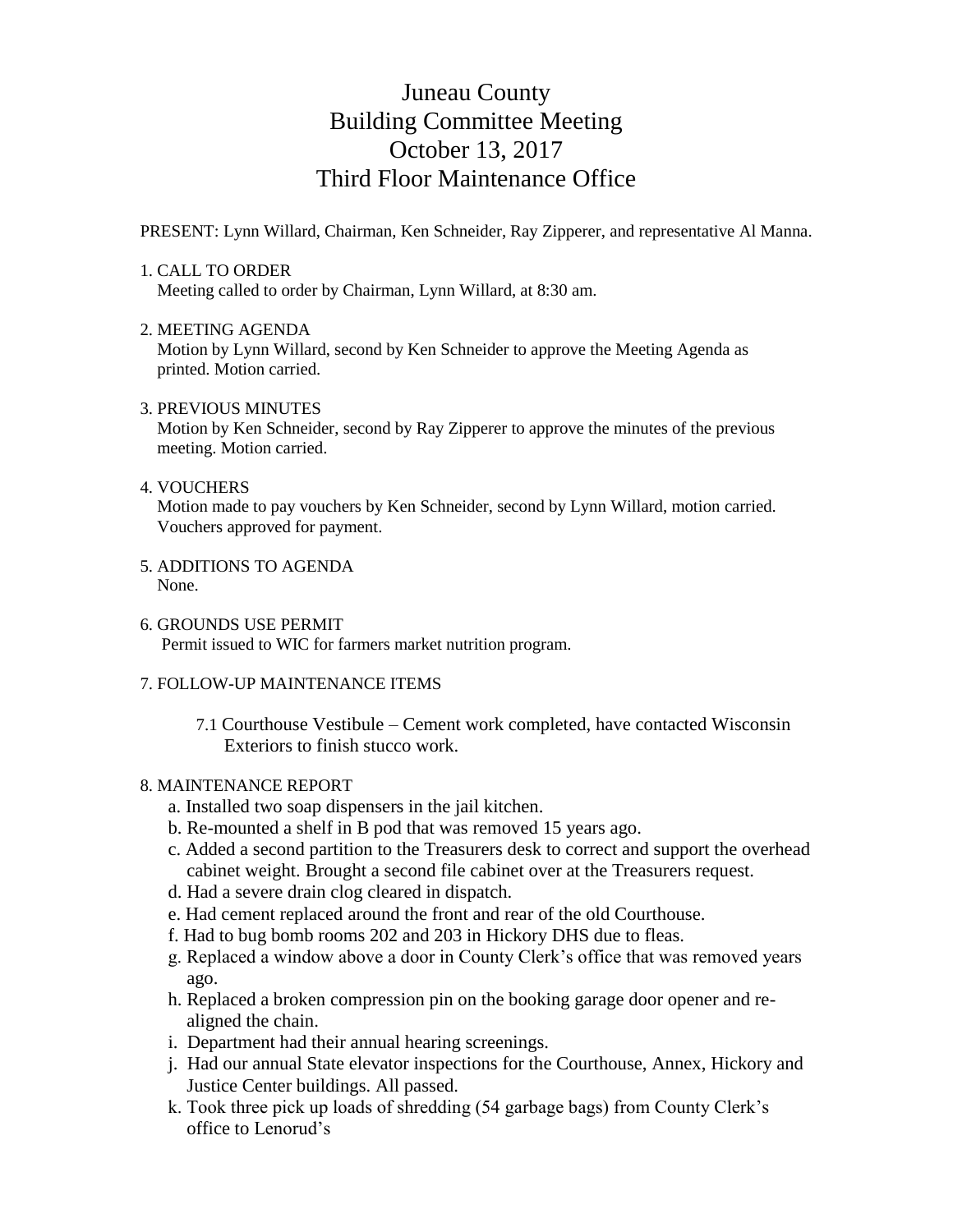# Juneau County Building Committee Meeting October 13, 2017 Third Floor Maintenance Office

PRESENT: Lynn Willard, Chairman, Ken Schneider, Ray Zipperer, and representative Al Manna.

## 1. CALL TO ORDER

Meeting called to order by Chairman, Lynn Willard, at 8:30 am.

### 2. MEETING AGENDA

 Motion by Lynn Willard, second by Ken Schneider to approve the Meeting Agenda as printed. Motion carried.

### 3. PREVIOUS MINUTES

 Motion by Ken Schneider, second by Ray Zipperer to approve the minutes of the previous meeting. Motion carried.

#### 4. VOUCHERS

 Motion made to pay vouchers by Ken Schneider, second by Lynn Willard, motion carried. Vouchers approved for payment.

- 5. ADDITIONS TO AGENDA None.
- 6. GROUNDS USE PERMIT Permit issued to WIC for farmers market nutrition program.

## 7. FOLLOW-UP MAINTENANCE ITEMS

7.1 Courthouse Vestibule – Cement work completed, have contacted Wisconsin Exteriors to finish stucco work.

### 8. MAINTENANCE REPORT

- a. Installed two soap dispensers in the jail kitchen.
- b. Re-mounted a shelf in B pod that was removed 15 years ago.
- c. Added a second partition to the Treasurers desk to correct and support the overhead cabinet weight. Brought a second file cabinet over at the Treasurers request.
- d. Had a severe drain clog cleared in dispatch.
- e. Had cement replaced around the front and rear of the old Courthouse.
- f. Had to bug bomb rooms 202 and 203 in Hickory DHS due to fleas.
- g. Replaced a window above a door in County Clerk's office that was removed years ago.
- h. Replaced a broken compression pin on the booking garage door opener and re aligned the chain.
- i. Department had their annual hearing screenings.
- j. Had our annual State elevator inspections for the Courthouse, Annex, Hickory and Justice Center buildings. All passed.
- k. Took three pick up loads of shredding (54 garbage bags) from County Clerk's office to Lenorud's